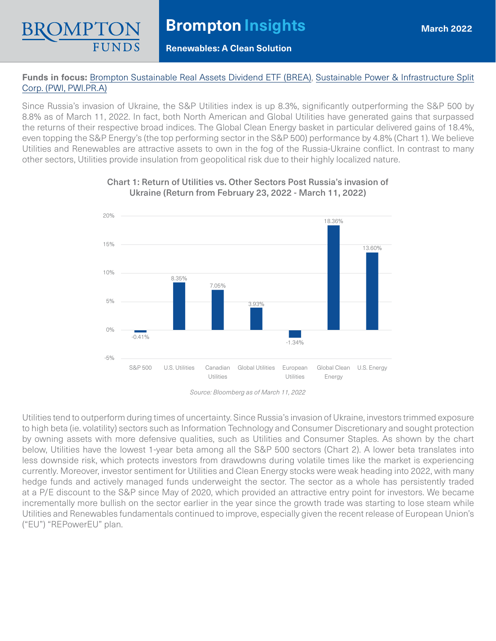## **Renewables: A Clean Solution**

## **Funds in focus:** [Brompton Sustainable Real Assets Dividend ETF \(BREA\)](https://www.bromptongroup.com/product/brompton-sustainable-real-assets-dividend-etf/), [Sustainable Power & Infrastructure Split](https://www.bromptongroup.com/product/sustainable-power-infrastructure-split-corp/) [Corp. \(PWI, PWI.PR.A\)](https://www.bromptongroup.com/product/sustainable-power-infrastructure-split-corp/)

Since Russia's invasion of Ukraine, the S&P Utilities index is up 8.3%, significantly outperforming the S&P 500 by 8.8% as of March 11, 2022. In fact, both North American and Global Utilities have generated gains that surpassed the returns of their respective broad indices. The Global Clean Energy basket in particular delivered gains of 18.4%, even topping the S&P Energy's (the top performing sector in the S&P 500) performance by 4.8% (Chart 1). We believe Utilities and Renewables are attractive assets to own in the fog of the Russia-Ukraine conflict. In contrast to many other sectors, Utilities provide insulation from geopolitical risk due to their highly localized nature.



## Chart 1: Return of Utilities vs. Other Sectors Post Russia's invasion of Ukraine (Return from February 23, 2022 - March 11, 2022)

*Source: Bloomberg as of March 11, 2022* 

Utilities tend to outperform during times of uncertainty. Since Russia's invasion of Ukraine, investors trimmed exposure to high beta (ie. volatility) sectors such as Information Technology and Consumer Discretionary and sought protection by owning assets with more defensive qualities, such as Utilities and Consumer Staples. As shown by the chart below, Utilities have the lowest 1-year beta among all the S&P 500 sectors (Chart 2). A lower beta translates into less downside risk, which protects investors from drawdowns during volatile times like the market is experiencing currently. Moreover, investor sentiment for Utilities and Clean Energy stocks were weak heading into 2022, with many hedge funds and actively managed funds underweight the sector. The sector as a whole has persistently traded at a P/E discount to the S&P since May of 2020, which provided an attractive entry point for investors. We became incrementally more bullish on the sector earlier in the year since the growth trade was starting to lose steam while Utilities and Renewables fundamentals continued to improve, especially given the recent release of European Union's ("EU") "REPowerEU" plan.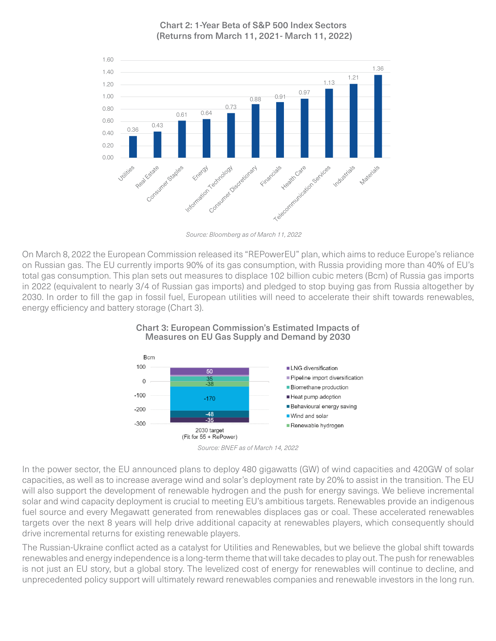Chart 2: 1-Year Beta of S&P 500 Index Sectors (Returns from March 11, 2021- March 11, 2022)



*Source: Bloomberg as of March 11, 2022* 

On March 8, 2022 the European Commission released its "REPowerEU" plan, which aims to reduce Europe's reliance on Russian gas. The EU currently imports 90% of its gas consumption, with Russia providing more than 40% of EU's total gas consumption. This plan sets out measures to displace 102 billion cubic meters (Bcm) of Russia gas imports in 2022 (equivalent to nearly 3/4 of Russian gas imports) and pledged to stop buying gas from Russia altogether by 2030. In order to fill the gap in fossil fuel, European utilities will need to accelerate their shift towards renewables, energy efficiency and battery storage (Chart 3).





In the power sector, the EU announced plans to deploy 480 gigawatts (GW) of wind capacities and 420GW of solar capacities, as well as to increase average wind and solar's deployment rate by 20% to assist in the transition. The EU will also support the development of renewable hydrogen and the push for energy savings. We believe incremental solar and wind capacity deployment is crucial to meeting EU's ambitious targets. Renewables provide an indigenous fuel source and every Megawatt generated from renewables displaces gas or coal. These accelerated renewables targets over the next 8 years will help drive additional capacity at renewables players, which consequently should drive incremental returns for existing renewable players.

The Russian-Ukraine conflict acted as a catalyst for Utilities and Renewables, but we believe the global shift towards renewables and energy independence is a long-term theme that will take decades to play out. The push for renewables is not just an EU story, but a global story. The levelized cost of energy for renewables will continue to decline, and unprecedented policy support will ultimately reward renewables companies and renewable investors in the long run.